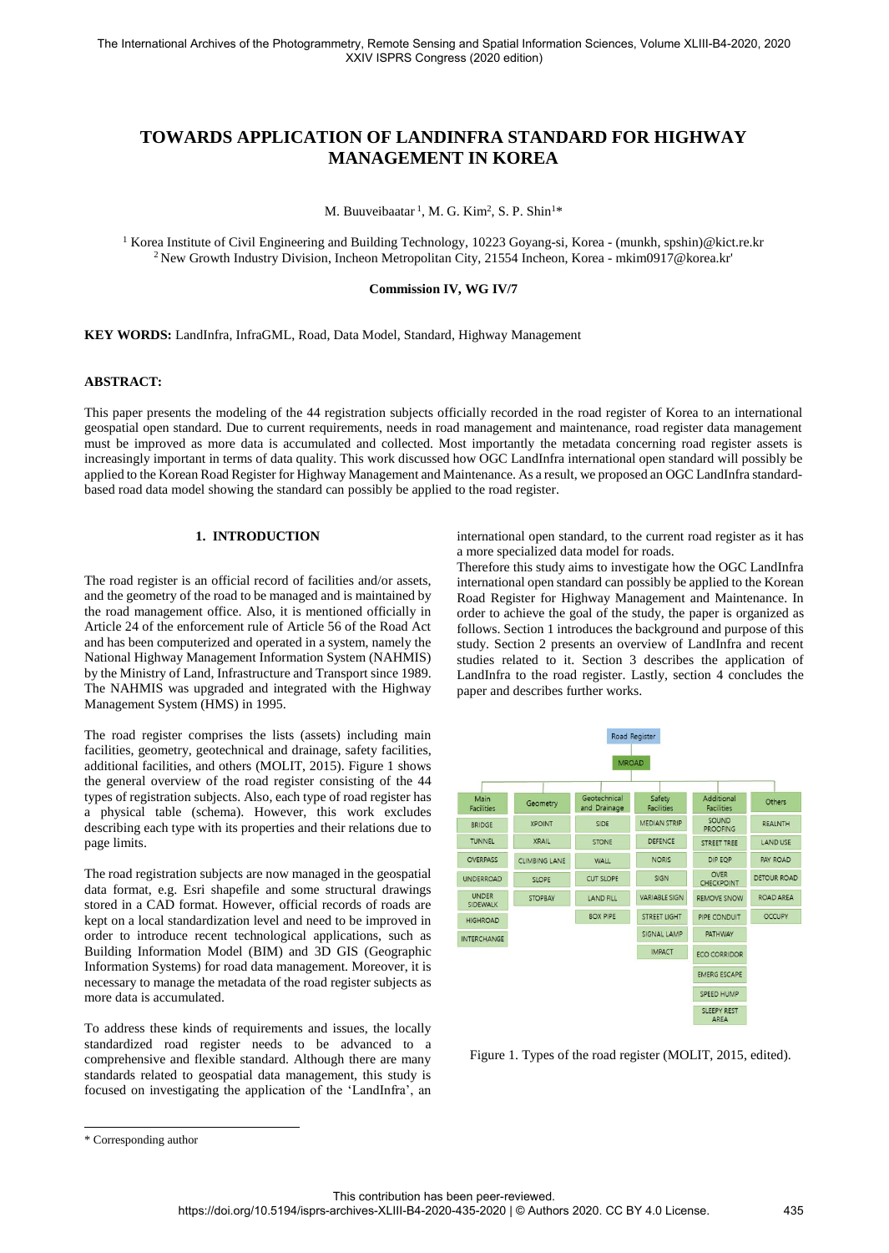# **TOWARDS APPLICATION OF LANDINFRA STANDARD FOR HIGHWAY MANAGEMENT IN KOREA**

M. Buuveibaatar<sup>1</sup>, M. G. Kim<sup>2</sup>, S. P. Shin<sup>1\*</sup>

<sup>1</sup> Korea Institute of Civil Engineering and Building Technology, 10223 Goyang-si, Korea - (munkh, spshin)@kict.re.kr <sup>2</sup> New Growth Industry Division, Incheon Metropolitan City, 21554 Incheon, Korea - mkim0917@korea.kr'

#### **Commission IV, WG IV/7**

**KEY WORDS:** LandInfra, InfraGML, Road, Data Model, Standard, Highway Management

# **ABSTRACT:**

This paper presents the modeling of the 44 registration subjects officially recorded in the road register of Korea to an international geospatial open standard. Due to current requirements, needs in road management and maintenance, road register data management must be improved as more data is accumulated and collected. Most importantly the metadata concerning road register assets is increasingly important in terms of data quality. This work discussed how OGC LandInfra international open standard will possibly be applied to the Korean Road Register for Highway Management and Maintenance. As a result, we proposed an OGC LandInfra standardbased road data model showing the standard can possibly be applied to the road register.

# **1. INTRODUCTION**

The road register is an official record of facilities and/or assets, and the geometry of the road to be managed and is maintained by the road management office. Also, it is mentioned officially in Article 24 of the enforcement rule of Article 56 of the Road Act and has been computerized and operated in a system, namely the National Highway Management Information System (NAHMIS) by the Ministry of Land, Infrastructure and Transport since 1989. The NAHMIS was upgraded and integrated with the Highway Management System (HMS) in 1995.

The road register comprises the lists (assets) including main facilities, geometry, geotechnical and drainage, safety facilities, additional facilities, and others (MOLIT, 2015). Figure 1 shows the general overview of the road register consisting of the 44 types of registration subjects. Also, each type of road register has a physical table (schema). However, this work excludes describing each type with its properties and their relations due to page limits.

The road registration subjects are now managed in the geospatial data format, e.g. Esri shapefile and some structural drawings stored in a CAD format. However, official records of roads are kept on a local standardization level and need to be improved in order to introduce recent technological applications, such as Building Information Model (BIM) and 3D GIS (Geographic Information Systems) for road data management. Moreover, it is necessary to manage the metadata of the road register subjects as more data is accumulated.

To address these kinds of requirements and issues, the locally standardized road register needs to be advanced to a comprehensive and flexible standard. Although there are many standards related to geospatial data management, this study is focused on investigating the application of the 'LandInfra', an international open standard, to the current road register as it has a more specialized data model for roads.

Therefore this study aims to investigate how the OGC LandInfra international open standard can possibly be applied to the Korean Road Register for Highway Management and Maintenance. In order to achieve the goal of the study, the paper is organized as follows. Section 1 introduces the background and purpose of this study. Section 2 presents an overview of LandInfra and recent studies related to it. Section 3 describes the application of LandInfra to the road register. Lastly, section 4 concludes the paper and describes further works.

| Road Register                   |                      |                              |                             |                                   |                    |  |  |
|---------------------------------|----------------------|------------------------------|-----------------------------|-----------------------------------|--------------------|--|--|
|                                 |                      | <b>MROAD</b>                 |                             |                                   |                    |  |  |
| Main<br><b>Facilities</b>       | Geometry             | Geotechnical<br>and Drainage | Safety<br><b>Facilities</b> | Additional<br><b>Facilities</b>   | Others             |  |  |
| <b>BRIDGE</b>                   | <b>XPOINT</b>        | SIDE                         | <b>MEDIAN STRIP</b>         | SOUND<br><b>PROOFING</b>          | <b>REALNTH</b>     |  |  |
| <b>TUNNEL</b>                   | <b>XRAIL</b>         | <b>STONE</b>                 | <b>DEFENCE</b>              | <b>STREET TREE</b>                | <b>LAND USE</b>    |  |  |
| <b>OVERPASS</b>                 | <b>CLIMBING LANE</b> | WALL                         | <b>NORIS</b>                | DIP EQP                           | <b>PAY ROAD</b>    |  |  |
| <b>UNDERROAD</b>                | <b>SLOPE</b>         | <b>CUT SLOPE</b>             | SIGN                        | <b>OVER</b><br>CHECKPOINT         | <b>DETOUR ROAD</b> |  |  |
| <b>UNDER</b><br><b>SIDEWALK</b> | <b>STOPBAY</b>       | <b>LAND FILL</b>             | <b>VARIABLE SIGN</b>        | <b>REMOVE SNOW</b>                | <b>ROAD AREA</b>   |  |  |
| <b>HIGHROAD</b>                 |                      | <b>BOX PIPE</b>              | STREET LIGHT                | PIPE CONDUIT                      | <b>OCCUPY</b>      |  |  |
| <b>INTERCHANGE</b>              |                      |                              | <b>SIGNAL LAMP</b>          | <b>PATHWAY</b>                    |                    |  |  |
|                                 |                      |                              | <b>IMPACT</b>               | <b>ECO CORRIDOR</b>               |                    |  |  |
|                                 |                      |                              |                             | <b>EMERG ESCAPE</b>               |                    |  |  |
|                                 |                      |                              |                             | SPEED HUMP                        |                    |  |  |
|                                 |                      |                              |                             | <b>SLEEPY REST</b><br><b>AREA</b> |                    |  |  |

Figure 1. Types of the road register (MOLIT, 2015, edited).

1

<sup>\*</sup> Corresponding author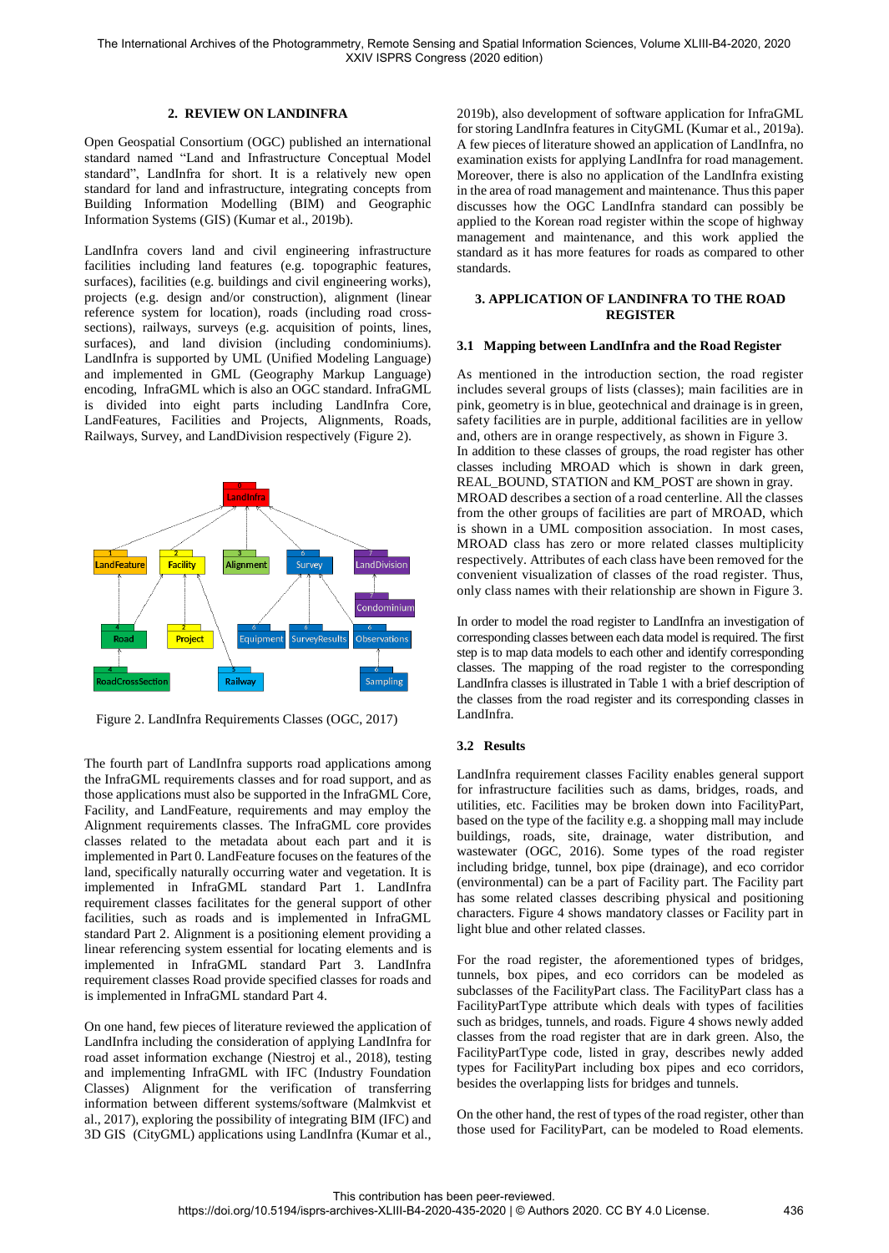## **2. REVIEW ON LANDINFRA**

Open Geospatial Consortium (OGC) published an international standard named "Land and Infrastructure Conceptual Model standard", LandInfra for short. It is a relatively new open standard for land and infrastructure, integrating concepts from Building Information Modelling (BIM) and Geographic Information Systems (GIS) (Kumar et al., 2019b).

LandInfra covers land and civil engineering infrastructure facilities including land features (e.g. topographic features, surfaces), facilities (e.g. buildings and civil engineering works), projects (e.g. design and/or construction), alignment (linear reference system for location), roads (including road crosssections), railways, surveys (e.g. acquisition of points, lines, surfaces), and land division (including condominiums). LandInfra is supported by UML (Unified Modeling Language) and implemented in GML (Geography Markup Language) encoding, InfraGML which is also an OGC standard. InfraGML is divided into eight parts including LandInfra Core, LandFeatures, Facilities and Projects, Alignments, Roads, Railways, Survey, and LandDivision respectively (Figure 2).



Figure 2. LandInfra Requirements Classes (OGC, 2017)

The fourth part of LandInfra supports road applications among the InfraGML requirements classes and for road support, and as those applications must also be supported in the InfraGML Core, Facility, and LandFeature, requirements and may employ the Alignment requirements classes. The InfraGML core provides classes related to the metadata about each part and it is implemented in Part 0. LandFeature focuses on the features of the land, specifically naturally occurring water and vegetation. It is implemented in InfraGML standard Part 1. LandInfra requirement classes facilitates for the general support of other facilities, such as roads and is implemented in InfraGML standard Part 2. Alignment is a positioning element providing a linear referencing system essential for locating elements and is implemented in InfraGML standard Part 3. LandInfra requirement classes Road provide specified classes for roads and is implemented in InfraGML standard Part 4.

On one hand, few pieces of literature reviewed the application of LandInfra including the consideration of applying LandInfra for road asset information exchange (Niestroj et al., 2018), testing and implementing InfraGML with IFC (Industry Foundation Classes) Alignment for the verification of transferring information between different systems/software (Malmkvist et al., 2017), exploring the possibility of integrating BIM (IFC) and 3D GIS (CityGML) applications using LandInfra (Kumar et al.,

2019b), also development of software application for InfraGML for storing LandInfra features in CityGML (Kumar et al., 2019a). A few pieces of literature showed an application of LandInfra, no examination exists for applying LandInfra for road management. Moreover, there is also no application of the LandInfra existing in the area of road management and maintenance. Thus this paper discusses how the OGC LandInfra standard can possibly be applied to the Korean road register within the scope of highway management and maintenance, and this work applied the standard as it has more features for roads as compared to other standards.

#### **3. APPLICATION OF LANDINFRA TO THE ROAD REGISTER**

#### **3.1 Mapping between LandInfra and the Road Register**

As mentioned in the introduction section, the road register includes several groups of lists (classes); main facilities are in pink, geometry is in blue, geotechnical and drainage is in green, safety facilities are in purple, additional facilities are in yellow and, others are in orange respectively, as shown in Figure 3. In addition to these classes of groups, the road register has other classes including MROAD which is shown in dark green, REAL\_BOUND, STATION and KM\_POST are shown in gray. MROAD describes a section of a road centerline. All the classes from the other groups of facilities are part of MROAD, which is shown in a UML composition association. In most cases, MROAD class has zero or more related classes multiplicity respectively. Attributes of each class have been removed for the convenient visualization of classes of the road register. Thus, only class names with their relationship are shown in Figure 3.

In order to model the road register to LandInfra an investigation of corresponding classes between each data model is required. The first step is to map data models to each other and identify corresponding classes. The mapping of the road register to the corresponding LandInfra classes is illustrated in Table 1 with a brief description of the classes from the road register and its corresponding classes in LandInfra.

## **3.2 Results**

LandInfra requirement classes Facility enables general support for infrastructure facilities such as dams, bridges, roads, and utilities, etc. Facilities may be broken down into FacilityPart, based on the type of the facility e.g. a shopping mall may include buildings, roads, site, drainage, water distribution, and wastewater (OGC, 2016). Some types of the road register including bridge, tunnel, box pipe (drainage), and eco corridor (environmental) can be a part of Facility part. The Facility part has some related classes describing physical and positioning characters. Figure 4 shows mandatory classes or Facility part in light blue and other related classes.

For the road register, the aforementioned types of bridges, tunnels, box pipes, and eco corridors can be modeled as subclasses of the FacilityPart class. The FacilityPart class has a FacilityPartType attribute which deals with types of facilities such as bridges, tunnels, and roads. Figure 4 shows newly added classes from the road register that are in dark green. Also, the FacilityPartType code, listed in gray, describes newly added types for FacilityPart including box pipes and eco corridors, besides the overlapping lists for bridges and tunnels.

On the other hand, the rest of types of the road register, other than those used for FacilityPart, can be modeled to Road elements.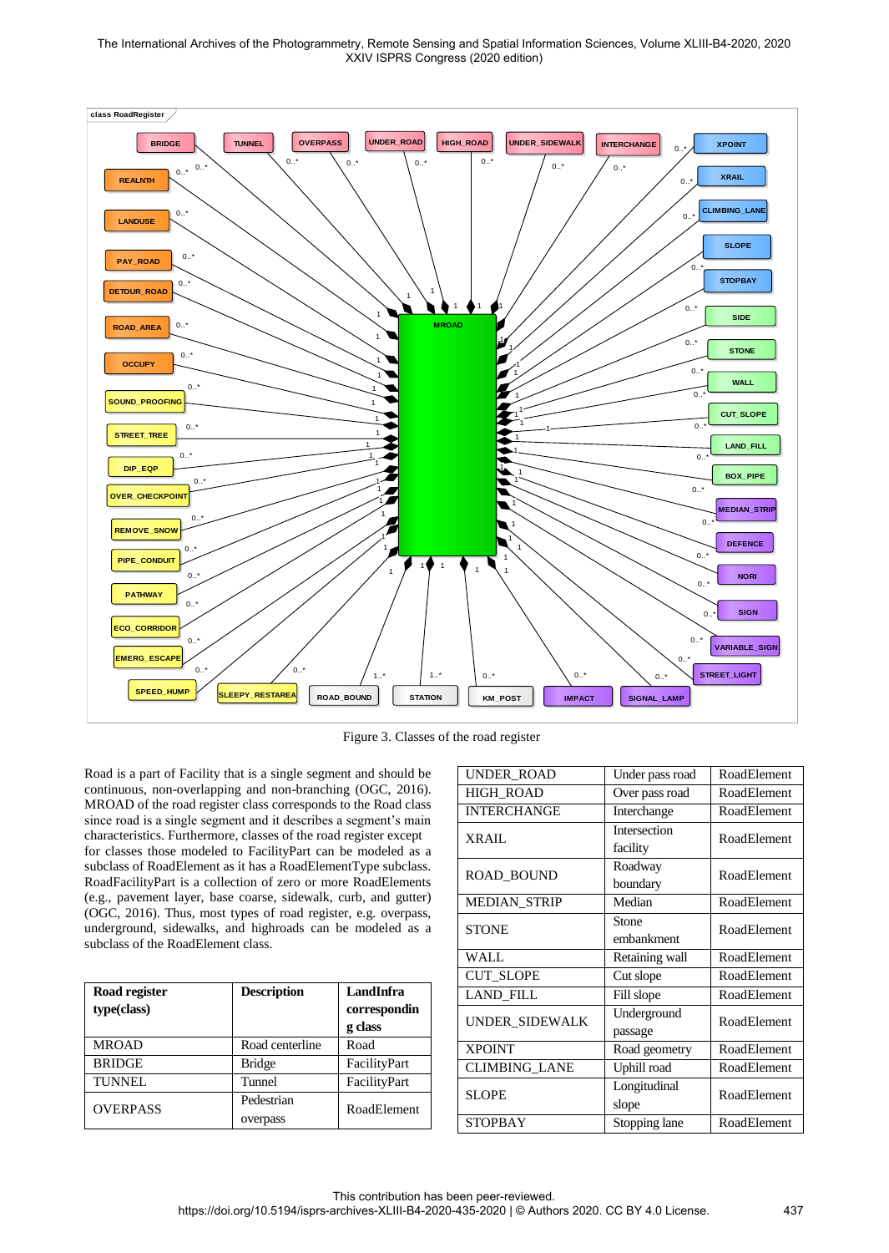The International Archives of the Photogrammetry, Remote Sensing and Spatial Information Sciences, Volume XLIII-B4-2020, 2020 XXIV ISPRS Congress (2020 edition)



Figure 3. Classes of the road register

Road is a part of Facility that is a single segment and should be continuous, non-overlapping and non-branching (OGC, 2016). MROAD of the road register class corresponds to the Road class since road is a single segment and it describes a segment's main characteristics. Furthermore, classes of the road register except for classes those modeled to FacilityPart can be modeled as a subclass of RoadElement as it has a RoadElementType subclass. RoadFacilityPart is a collection of zero or more RoadElements (e.g., pavement layer, base coarse, sidewalk, curb, and gutter) (OGC, 2016). Thus, most types of road register, e.g. overpass, underground, sidewalks, and highroads can be modeled as a subclass of the RoadElement class.

| Road register<br>type(class) | <b>Description</b> | LandInfra<br>correspondin |  |
|------------------------------|--------------------|---------------------------|--|
|                              |                    | g class                   |  |
| <b>MROAD</b>                 | Road centerline    | Road                      |  |
| <b>BRIDGE</b>                | <b>Bridge</b>      | FacilityPart              |  |
| <b>TUNNEL</b>                | Tunnel             | FacilityPart              |  |
| <b>OVERPASS</b>              | Pedestrian         | RoadElement               |  |
|                              | overpass           |                           |  |

| <b>UNDER ROAD</b>    | Under pass road | RoadElement |  |
|----------------------|-----------------|-------------|--|
| <b>HIGH ROAD</b>     | Over pass road  | RoadElement |  |
| <b>INTERCHANGE</b>   | Interchange     | RoadElement |  |
| <b>XRAIL</b>         | Intersection    | RoadElement |  |
|                      | facility        |             |  |
| <b>ROAD BOUND</b>    | Roadway         | RoadElement |  |
|                      | boundary        |             |  |
| <b>MEDIAN_STRIP</b>  | Median          | RoadElement |  |
| <b>STONE</b>         | Stone           | RoadElement |  |
|                      | embankment      |             |  |
| WALL                 | Retaining wall  | RoadElement |  |
| <b>CUT_SLOPE</b>     | Cut slope       | RoadElement |  |
| <b>LAND FILL</b>     | Fill slope      | RoadElement |  |
| UNDER SIDEWALK       | Underground     | RoadElement |  |
|                      | passage         |             |  |
| <b>XPOINT</b>        | Road geometry   | RoadElement |  |
| <b>CLIMBING LANE</b> | Uphill road     | RoadElement |  |
| <b>SLOPE</b>         | Longitudinal    | RoadElement |  |
|                      | slope           |             |  |
| STOPBAY              | Stopping lane   | RoadElement |  |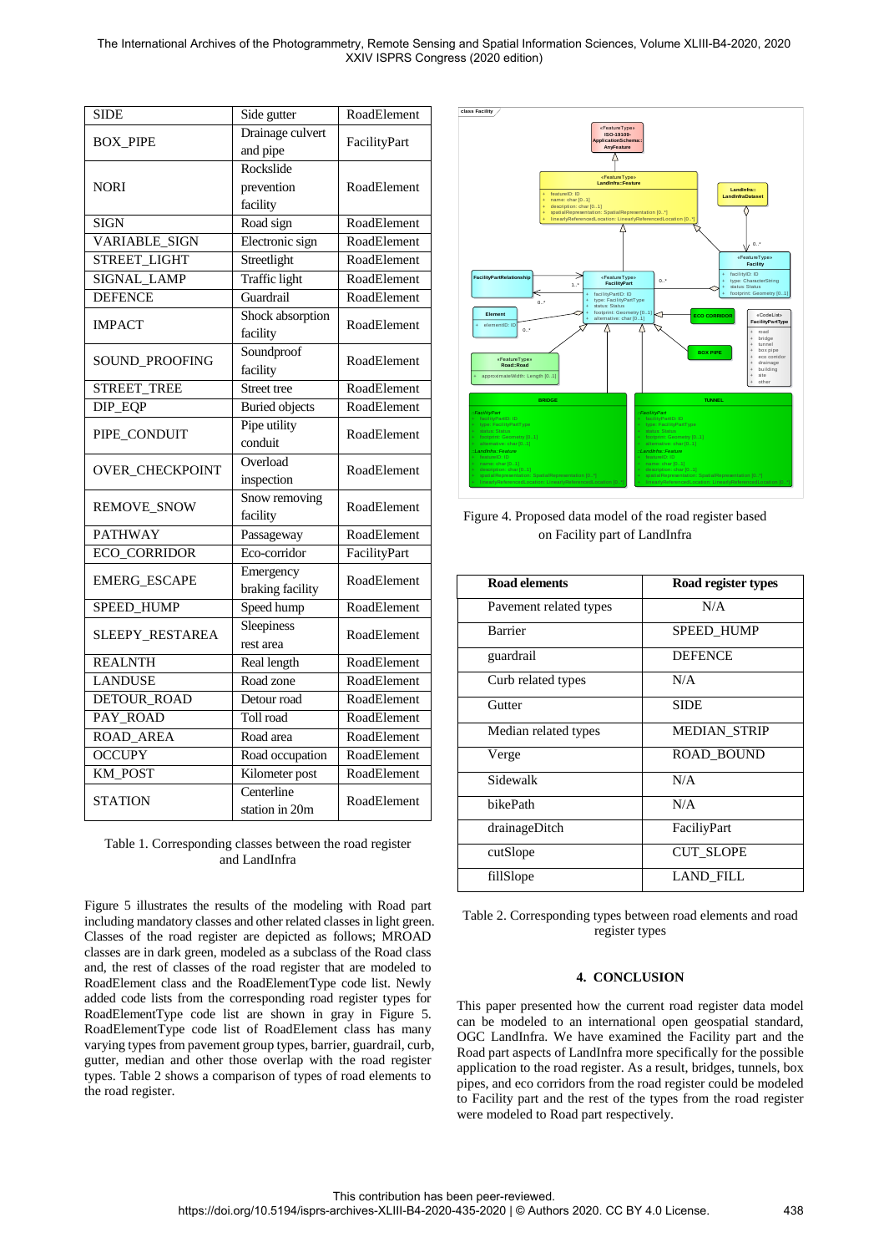The International Archives of the Photogrammetry, Remote Sensing and Spatial Information Sciences, Volume XLIII-B4-2020, 2020 XXIV ISPRS Congress (2020 edition)

| <b>SIDE</b>            | Side gutter           | RoadElement        |  |
|------------------------|-----------------------|--------------------|--|
| <b>BOX_PIPE</b>        | Drainage culvert      | FacilityPart       |  |
|                        | and pipe              |                    |  |
|                        | Rockslide             |                    |  |
| <b>NORI</b>            | prevention            | RoadElement        |  |
|                        | facility              |                    |  |
| <b>SIGN</b>            | Road sign             | RoadElement        |  |
| <b>VARIABLE SIGN</b>   | Electronic sign       | RoadElement        |  |
| STREET_LIGHT           | Streetlight           | RoadElement        |  |
| SIGNAL LAMP            | <b>Traffic</b> light  | RoadElement        |  |
| <b>DEFENCE</b>         | Guardrail             | RoadElement        |  |
|                        | Shock absorption      |                    |  |
| <b>IMPACT</b>          | facility              | RoadElement        |  |
|                        | Soundproof            |                    |  |
| SOUND_PROOFING         | facility              | RoadElement        |  |
| <b>STREET_TREE</b>     | Street tree           | <b>RoadElement</b> |  |
| DIP_EQP                | <b>Buried</b> objects | RoadElement        |  |
|                        | Pipe utility          | RoadElement        |  |
| PIPE_CONDUIT           | conduit               |                    |  |
|                        | Overload              | RoadElement        |  |
| <b>OVER_CHECKPOINT</b> | inspection            |                    |  |
|                        | Snow removing         | RoadElement        |  |
| <b>REMOVE_SNOW</b>     | facility              |                    |  |
| <b>PATHWAY</b>         | Passageway            | RoadElement        |  |
| <b>ECO_CORRIDOR</b>    | Eco-corridor          | FacilityPart       |  |
| <b>EMERG ESCAPE</b>    | Emergency             | RoadElement        |  |
|                        | braking facility      |                    |  |
| SPEED_HUMP             | Speed hump            | <b>RoadElement</b> |  |
| SLEEPY_RESTAREA        | Sleepiness            | RoadElement        |  |
|                        | rest area             |                    |  |
| <b>REALNTH</b>         | Real length           | RoadElement        |  |
| <b>LANDUSE</b>         | Road zone             | RoadElement        |  |
| DETOUR_ROAD            | Detour road           | RoadElement        |  |
| PAY_ROAD               | Toll road             | RoadElement        |  |
| <b>ROAD_AREA</b>       | Road area             | RoadElement        |  |
| <b>OCCUPY</b>          | Road occupation       | RoadElement        |  |
| KM_POST                | Kilometer post        | RoadElement        |  |
|                        | Centerline            | RoadElement        |  |
| <b>STATION</b>         | station in 20m        |                    |  |

Table 1. Corresponding classes between the road register and LandInfra

Figure 5 illustrates the results of the modeling with Road part including mandatory classes and other related classes in light green. Classes of the road register are depicted as follows; MROAD classes are in dark green, modeled as a subclass of the Road class and, the rest of classes of the road register that are modeled to RoadElement class and the RoadElementType code list. Newly added code lists from the corresponding road register types for RoadElementType code list are shown in gray in Figure 5. RoadElementType code list of RoadElement class has many varying types from pavement group types, barrier, guardrail, curb, gutter, median and other those overlap with the road register types. Table 2 shows a comparison of types of road elements to the road register.



Figure 4. Proposed data model of the road register based on Facility part of LandInfra

| <b>Road elements</b>   | Road register types |  |
|------------------------|---------------------|--|
| Pavement related types | N/A                 |  |
| <b>Barrier</b>         | <b>SPEED HUMP</b>   |  |
| guardrail              | <b>DEFENCE</b>      |  |
| Curb related types     | N/A                 |  |
| Gutter                 | <b>SIDE</b>         |  |
| Median related types   | <b>MEDIAN STRIP</b> |  |
| Verge                  | <b>ROAD BOUND</b>   |  |
| Sidewalk               | N/A                 |  |
| bikePath               | N/A                 |  |
| drainageDitch          | FaciliyPart         |  |
| cutSlope               | <b>CUT_SLOPE</b>    |  |
| fillSlope              | <b>LAND_FILL</b>    |  |

Table 2. Corresponding types between road elements and road register types

## **4. CONCLUSION**

This paper presented how the current road register data model can be modeled to an international open geospatial standard, OGC LandInfra. We have examined the Facility part and the Road part aspects of LandInfra more specifically for the possible application to the road register. As a result, bridges, tunnels, box pipes, and eco corridors from the road register could be modeled to Facility part and the rest of the types from the road register were modeled to Road part respectively.